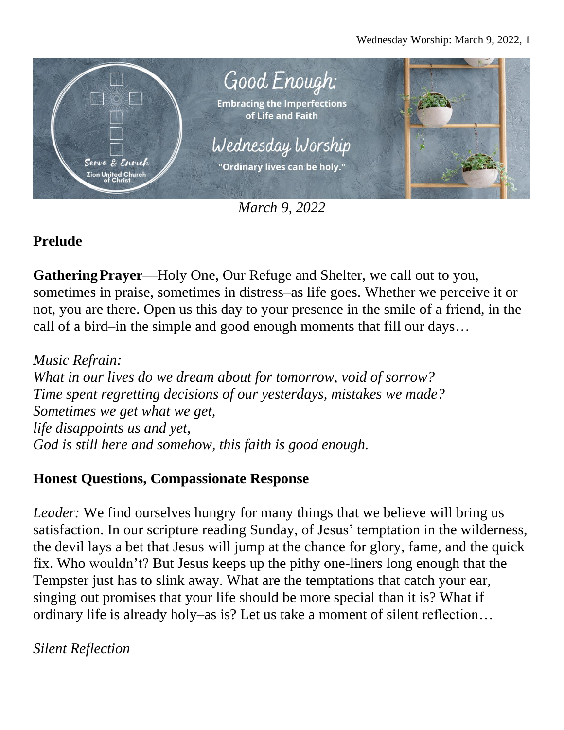

*March 9, 2022*

# **Prelude**

**GatheringPrayer**—Holy One, Our Refuge and Shelter, we call out to you, sometimes in praise, sometimes in distress–as life goes. Whether we perceive it or not, you are there. Open us this day to your presence in the smile of a friend, in the call of a bird–in the simple and good enough moments that fill our days…

*Music Refrain: What in our lives do we dream about for tomorrow, void of sorrow? Time spent regretting decisions of our yesterdays, mistakes we made? Sometimes we get what we get, life disappoints us and yet, God is still here and somehow, this faith is good enough.*

#### **Honest Questions, Compassionate Response**

*Leader:* We find ourselves hungry for many things that we believe will bring us satisfaction. In our scripture reading Sunday, of Jesus' temptation in the wilderness, the devil lays a bet that Jesus will jump at the chance for glory, fame, and the quick fix. Who wouldn't? But Jesus keeps up the pithy one-liners long enough that the Tempster just has to slink away. What are the temptations that catch your ear, singing out promises that your life should be more special than it is? What if ordinary life is already holy–as is? Let us take a moment of silent reflection…

*Silent Reflection*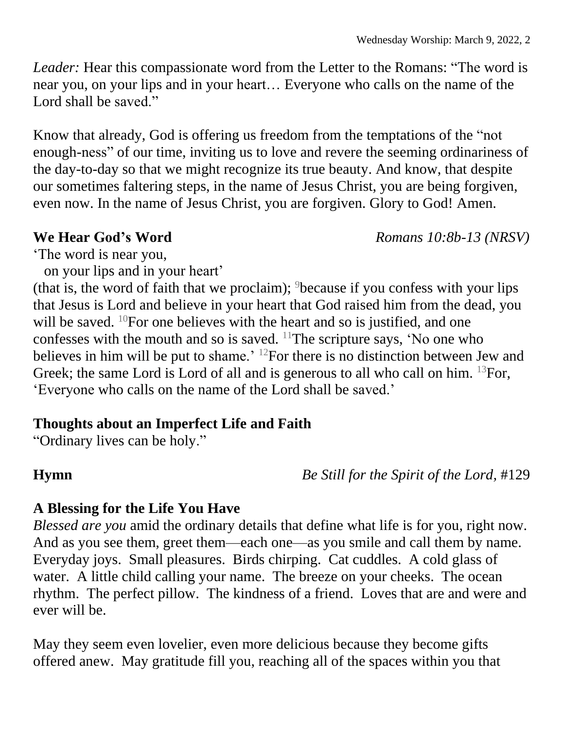*Leader:* Hear this compassionate word from the Letter to the Romans: "The word is near you, on your lips and in your heart… Everyone who calls on the name of the Lord shall be saved."

Know that already, God is offering us freedom from the temptations of the "not enough-ness" of our time, inviting us to love and revere the seeming ordinariness of the day-to-day so that we might recognize its true beauty. And know, that despite our sometimes faltering steps, in the name of Jesus Christ, you are being forgiven, even now. In the name of Jesus Christ, you are forgiven. Glory to God! Amen.

**We Hear God's Word** *Romans 10:8b-13 (NRSV)*

'The word is near you,

on your lips and in your heart'

(that is, the word of faith that we proclaim);  $9$  because if you confess with your lips that Jesus is Lord and believe in your heart that God raised him from the dead, you will be saved. <sup>10</sup>For one believes with the heart and so is justified, and one confesses with the mouth and so is saved.  $11$ The scripture says, 'No one who believes in him will be put to shame.' <sup>12</sup>For there is no distinction between Jew and Greek; the same Lord is Lord of all and is generous to all who call on him. <sup>13</sup>For, 'Everyone who calls on the name of the Lord shall be saved.'

## **Thoughts about an Imperfect Life and Faith**

"Ordinary lives can be holy."

**Hymn** *Be Still for the Spirit of the Lord,* #129

## **A Blessing for the Life You Have**

*Blessed are you* amid the ordinary details that define what life is for you, right now. And as you see them, greet them—each one—as you smile and call them by name. Everyday joys. Small pleasures. Birds chirping. Cat cuddles. A cold glass of water. A little child calling your name. The breeze on your cheeks. The ocean rhythm. The perfect pillow. The kindness of a friend. Loves that are and were and ever will be.

May they seem even lovelier, even more delicious because they become gifts offered anew. May gratitude fill you, reaching all of the spaces within you that